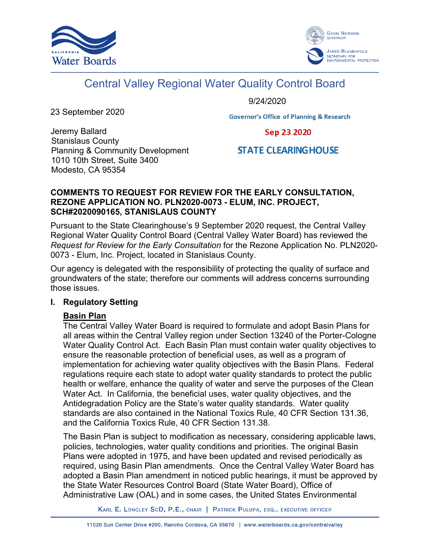



# Central Valley Regional Water Quality Control Board

9/24/2020

23 September 2020

**Governor's Office of Planning & Research** 

Jeremy Ballard Stanislaus County Planning & Community Development 1010 10th Street, Suite 3400 Modesto, CA 95354

Sep 23 2020

# **STATE CLEARING HOUSE**

#### **COMMENTS TO REQUEST FOR REVIEW FOR THE EARLY CONSULTATION, REZONE APPLICATION NO. PLN2020-0073 - ELUM, INC. PROJECT, SCH#2020090165, STANISLAUS COUNTY**

Pursuant to the State Clearinghouse's 9 September 2020 request, the Central Valley Regional Water Quality Control Board (Central Valley Water Board) has reviewed the *Request for Review for the Early Consultation* for the Rezone Application No. PLN2020- 0073 - Elum, Inc. Project, located in Stanislaus County.

Our agency is delegated with the responsibility of protecting the quality of surface and groundwaters of the state; therefore our comments will address concerns surrounding those issues.

#### **I. Regulatory Setting**

#### **Basin Plan**

The Central Valley Water Board is required to formulate and adopt Basin Plans for all areas within the Central Valley region under Section 13240 of the Porter-Cologne Water Quality Control Act. Each Basin Plan must contain water quality objectives to ensure the reasonable protection of beneficial uses, as well as a program of implementation for achieving water quality objectives with the Basin Plans. Federal regulations require each state to adopt water quality standards to protect the public health or welfare, enhance the quality of water and serve the purposes of the Clean Water Act. In California, the beneficial uses, water quality objectives, and the Antidegradation Policy are the State's water quality standards. Water quality standards are also contained in the National Toxics Rule, 40 CFR Section 131.36, and the California Toxics Rule, 40 CFR Section 131.38.

The Basin Plan is subject to modification as necessary, considering applicable laws, policies, technologies, water quality conditions and priorities. The original Basin Plans were adopted in 1975, and have been updated and revised periodically as required, using Basin Plan amendments. Once the Central Valley Water Board has adopted a Basin Plan amendment in noticed public hearings, it must be approved by the State Water Resources Control Board (State Water Board), Office of Administrative Law (OAL) and in some cases, the United States Environmental

KARL E. LONGLEY SCD, P.E., CHAIR | PATRICK PULUPA, ESQ., EXECUTIVE OFFICER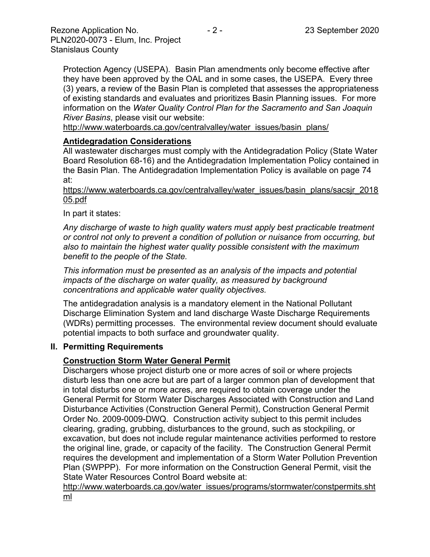Protection Agency (USEPA). Basin Plan amendments only become effective after they have been approved by the OAL and in some cases, the USEPA. Every three (3) years, a review of the Basin Plan is completed that assesses the appropriateness of existing standards and evaluates and prioritizes Basin Planning issues. For more information on the *Water Quality Control Plan for the Sacramento and San Joaquin River Basins*, please visit our website:

[http://www.waterboards.ca.gov/centralvalley/water\\_issues/basin\\_plans/](http://www.waterboards.ca.gov/centralvalley/water_issues/basin_plans/)

#### **Antidegradation Considerations**

All wastewater discharges must comply with the Antidegradation Policy (State Water Board Resolution 68-16) and the Antidegradation Implementation Policy contained in the Basin Plan. The Antidegradation Implementation Policy is available on page 74 at:

https://www.waterboards.ca.gov/centralvalley/water\_issues/basin\_plans/sacsjr\_2018 05.pdf

#### In part it states:

*Any discharge of waste to high quality waters must apply best practicable treatment or control not only to prevent a condition of pollution or nuisance from occurring, but also to maintain the highest water quality possible consistent with the maximum benefit to the people of the State.*

*This information must be presented as an analysis of the impacts and potential impacts of the discharge on water quality, as measured by background concentrations and applicable water quality objectives.*

The antidegradation analysis is a mandatory element in the National Pollutant Discharge Elimination System and land discharge Waste Discharge Requirements (WDRs) permitting processes. The environmental review document should evaluate potential impacts to both surface and groundwater quality.

#### **II. Permitting Requirements**

#### **Construction Storm Water General Permit**

Dischargers whose project disturb one or more acres of soil or where projects disturb less than one acre but are part of a larger common plan of development that in total disturbs one or more acres, are required to obtain coverage under the General Permit for Storm Water Discharges Associated with Construction and Land Disturbance Activities (Construction General Permit), Construction General Permit Order No. 2009-0009-DWQ. Construction activity subject to this permit includes clearing, grading, grubbing, disturbances to the ground, such as stockpiling, or excavation, but does not include regular maintenance activities performed to restore the original line, grade, or capacity of the facility. The Construction General Permit requires the development and implementation of a Storm Water Pollution Prevention Plan (SWPPP). For more information on the Construction General Permit, visit the State Water Resources Control Board website at:

[http://www.waterboards.ca.gov/water\\_issues/programs/stormwater/constpermits.sht](http://www.waterboards.ca.gov/water_issues/programs/stormwater/constpermits.shtml) [ml](http://www.waterboards.ca.gov/water_issues/programs/stormwater/constpermits.shtml)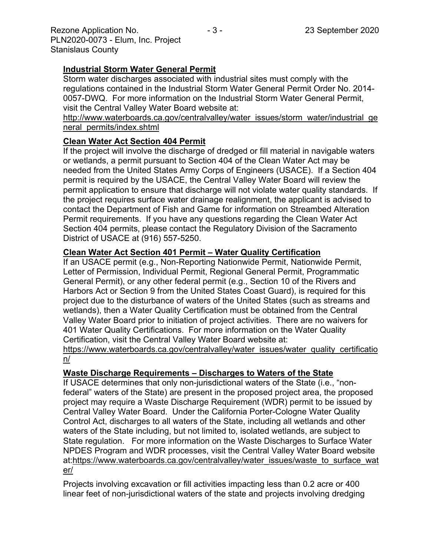# **Industrial Storm Water General Permit**

Storm water discharges associated with industrial sites must comply with the regulations contained in the Industrial Storm Water General Permit Order No. 2014- 0057-DWQ. For more information on the Industrial Storm Water General Permit, visit the Central Valley Water Board website at:

http://www.waterboards.ca.gov/centralvalley/water\_issues/storm\_water/industrial\_ge neral\_permits/index.shtml

# **Clean Water Act Section 404 Permit**

If the project will involve the discharge of dredged or fill material in navigable waters or wetlands, a permit pursuant to Section 404 of the Clean Water Act may be needed from the United States Army Corps of Engineers (USACE). If a Section 404 permit is required by the USACE, the Central Valley Water Board will review the permit application to ensure that discharge will not violate water quality standards. If the project requires surface water drainage realignment, the applicant is advised to contact the Department of Fish and Game for information on Streambed Alteration Permit requirements. If you have any questions regarding the Clean Water Act Section 404 permits, please contact the Regulatory Division of the Sacramento District of USACE at (916) 557-5250.

## **Clean Water Act Section 401 Permit – Water Quality Certification**

If an USACE permit (e.g., Non-Reporting Nationwide Permit, Nationwide Permit, Letter of Permission, Individual Permit, Regional General Permit, Programmatic General Permit), or any other federal permit (e.g., Section 10 of the Rivers and Harbors Act or Section 9 from the United States Coast Guard), is required for this project due to the disturbance of waters of the United States (such as streams and wetlands), then a Water Quality Certification must be obtained from the Central Valley Water Board prior to initiation of project activities. There are no waivers for 401 Water Quality Certifications. For more information on the Water Quality Certification, visit the Central Valley Water Board website at:

https://www.waterboards.ca.gov/centralvalley/water\_issues/water\_quality\_certificatio n/

## **Waste Discharge Requirements – Discharges to Waters of the State**

If USACE determines that only non-jurisdictional waters of the State (i.e., "nonfederal" waters of the State) are present in the proposed project area, the proposed project may require a Waste Discharge Requirement (WDR) permit to be issued by Central Valley Water Board. Under the California Porter-Cologne Water Quality Control Act, discharges to all waters of the State, including all wetlands and other waters of the State including, but not limited to, isolated wetlands, are subject to State regulation. For more information on the Waste Discharges to Surface Water NPDES Program and WDR processes, visit the Central Valley Water Board website at:https://www.waterboards.ca.gov/centralvalley/water\_issues/waste\_to\_surface\_wat er/

Projects involving excavation or fill activities impacting less than 0.2 acre or 400 linear feet of non-jurisdictional waters of the state and projects involving dredging